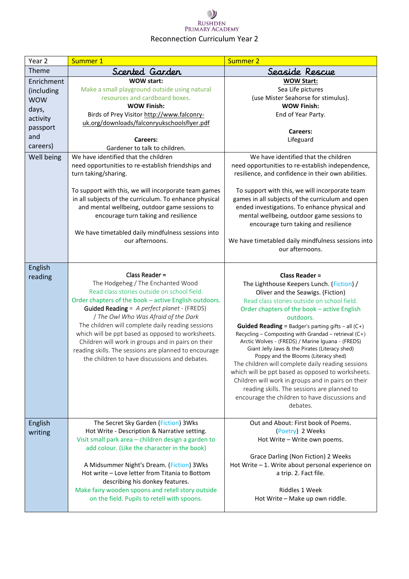### $\mathcal{Y}$ **RUSHDEN** PRIMARY ACADEMY Reconnection Curriculum Year 2

| Year <sub>2</sub>                                                                                        | Summer 1                                                                                                                                                                                                                                                                                                                                                                                                                                                                                                                                                                                                                                                                               | <b>Summer 2</b>                                                                                                                                                                                                                                                                                                                                                                                                                                                                                                                                                                                                                                                                                                                                                       |
|----------------------------------------------------------------------------------------------------------|----------------------------------------------------------------------------------------------------------------------------------------------------------------------------------------------------------------------------------------------------------------------------------------------------------------------------------------------------------------------------------------------------------------------------------------------------------------------------------------------------------------------------------------------------------------------------------------------------------------------------------------------------------------------------------------|-----------------------------------------------------------------------------------------------------------------------------------------------------------------------------------------------------------------------------------------------------------------------------------------------------------------------------------------------------------------------------------------------------------------------------------------------------------------------------------------------------------------------------------------------------------------------------------------------------------------------------------------------------------------------------------------------------------------------------------------------------------------------|
| Theme                                                                                                    | Scented Garden                                                                                                                                                                                                                                                                                                                                                                                                                                                                                                                                                                                                                                                                         | Seaside Rescue                                                                                                                                                                                                                                                                                                                                                                                                                                                                                                                                                                                                                                                                                                                                                        |
| Enrichment<br>(including<br><b>WOW</b><br>days,<br>activity<br>passport<br>and<br>careers)<br>Well being | <b>WOW start:</b><br>Make a small playground outside using natural<br>resources and cardboard boxes.<br><b>WOW Finish:</b><br>Birds of Prey Visitor http://www.falconry-<br>uk.org/downloads/falconryukschoolsflyer.pdf<br><b>Careers:</b><br>Gardener to talk to children.<br>We have identified that the children<br>need opportunities to re-establish friendships and<br>turn taking/sharing.<br>To support with this, we will incorporate team games<br>in all subjects of the curriculum. To enhance physical<br>and mental wellbeing, outdoor game sessions to<br>encourage turn taking and resilience<br>We have timetabled daily mindfulness sessions into<br>our afternoons. | <b>WOW Start:</b><br>Sea Life pictures<br>(use Mister Seahorse for stimulus).<br><b>WOW Finish:</b><br>End of Year Party.<br>Careers:<br>Lifeguard<br>We have identified that the children<br>need opportunities to re-establish independence,<br>resilience, and confidence in their own abilities.<br>To support with this, we will incorporate team<br>games in all subjects of the curriculum and open<br>ended investigations. To enhance physical and<br>mental wellbeing, outdoor game sessions to<br>encourage turn taking and resilience<br>We have timetabled daily mindfulness sessions into<br>our afternoons.                                                                                                                                            |
| English<br>reading                                                                                       | Class Reader =<br>The Hodgeheg / The Enchanted Wood<br>Read class stories outside on school field.<br>Order chapters of the book - active English outdoors.<br><b>Guided Reading</b> = A perfect planet - (FREDS)<br>/ The Owl Who Was Afraid of the Dark<br>The children will complete daily reading sessions<br>which will be ppt based as opposed to worksheets.<br>Children will work in groups and in pairs on their<br>reading skills. The sessions are planned to encourage<br>the children to have discussions and debates.                                                                                                                                                    | <b>Class Reader =</b><br>The Lighthouse Keepers Lunch. (Fiction) /<br>Oliver and the Seawigs. (Fiction)<br>Read class stories outside on school field.<br>Order chapters of the book - active English<br>outdoors.<br><b>Guided Reading</b> = Badger's parting gifts - all $(C+)$<br>Recycling - Composting with Grandad - retrieval (C+)<br>Arctic Wolves - (FREDS) / Marine Iguana - (FREDS)<br>Giant Jelly Jaws & the Pirates (Literacy shed)<br>Poppy and the Blooms (Literacy shed)<br>The children will complete daily reading sessions<br>which will be ppt based as opposed to worksheets.<br>Children will work in groups and in pairs on their<br>reading skills. The sessions are planned to<br>encourage the children to have discussions and<br>debates. |
| English<br>writing                                                                                       | The Secret Sky Garden (Fiction) 3Wks<br>Hot Write - Description & Narrative setting.<br>Visit small park area - children design a garden to<br>add colour. (Like the character in the book)<br>A Midsummer Night's Dream. (Fiction) 3Wks<br>Hot write - Love letter from Titania to Bottom<br>describing his donkey features.<br>Make fairy wooden spoons and retell story outside<br>on the field. Pupils to retell with spoons.                                                                                                                                                                                                                                                      | Out and About: First book of Poems.<br>(Poetry) 2 Weeks<br>Hot Write - Write own poems.<br>Grace Darling (Non Fiction) 2 Weeks<br>Hot Write - 1. Write about personal experience on<br>a trip. 2. Fact file.<br>Riddles 1 Week<br>Hot Write - Make up own riddle.                                                                                                                                                                                                                                                                                                                                                                                                                                                                                                     |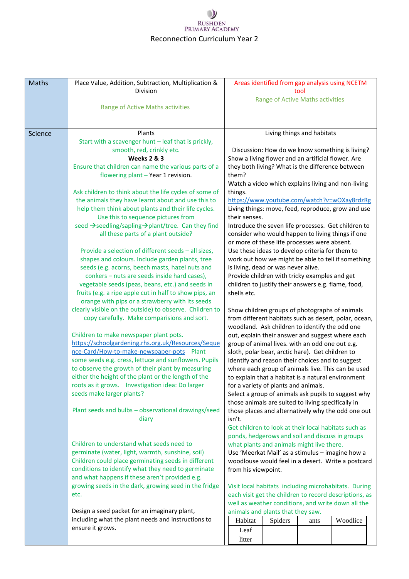## $\bigcup$ RUSHDEN<br>PRIMARY ACADEMY Reconnection Curriculum Year 2

| <b>Maths</b> | Place Value, Addition, Subtraction, Multiplication &                                                         |                                                                                                           | Areas identified from gap analysis using NCETM  |                            |          |  |
|--------------|--------------------------------------------------------------------------------------------------------------|-----------------------------------------------------------------------------------------------------------|-------------------------------------------------|----------------------------|----------|--|
|              | Division                                                                                                     |                                                                                                           | Range of Active Maths activities                | tool                       |          |  |
|              | Range of Active Maths activities                                                                             |                                                                                                           |                                                 |                            |          |  |
|              |                                                                                                              |                                                                                                           |                                                 |                            |          |  |
|              | Plants                                                                                                       |                                                                                                           |                                                 | Living things and habitats |          |  |
| Science      | Start with a scavenger hunt - leaf that is prickly,                                                          |                                                                                                           |                                                 |                            |          |  |
|              | smooth, red, crinkly etc.                                                                                    |                                                                                                           | Discussion: How do we know something is living? |                            |          |  |
|              | <b>Weeks 2 &amp; 3</b>                                                                                       | Show a living flower and an artificial flower. Are                                                        |                                                 |                            |          |  |
|              | Ensure that children can name the various parts of a                                                         | they both living? What is the difference between                                                          |                                                 |                            |          |  |
|              | flowering plant - Year 1 revision.                                                                           | them?                                                                                                     |                                                 |                            |          |  |
|              |                                                                                                              | Watch a video which explains living and non-living                                                        |                                                 |                            |          |  |
|              | Ask children to think about the life cycles of some of<br>the animals they have learnt about and use this to | things.<br>https://www.youtube.com/watch?v=wOXay8rdzRg                                                    |                                                 |                            |          |  |
|              | help them think about plants and their life cycles.                                                          | Living things: move, feed, reproduce, grow and use                                                        |                                                 |                            |          |  |
|              | Use this to sequence pictures from                                                                           | their senses.                                                                                             |                                                 |                            |          |  |
|              | seed → seedling/sapling → plant/tree. Can they find                                                          | Introduce the seven life processes. Get children to                                                       |                                                 |                            |          |  |
|              | all these parts of a plant outside?                                                                          | consider who would happen to living things if one                                                         |                                                 |                            |          |  |
|              |                                                                                                              | or more of these life processes were absent.                                                              |                                                 |                            |          |  |
|              | Provide a selection of different seeds - all sizes,                                                          | Use these ideas to develop criteria for them to                                                           |                                                 |                            |          |  |
|              | shapes and colours. Include garden plants, tree<br>seeds (e.g. acorns, beech masts, hazel nuts and           | work out how we might be able to tell if something<br>is living, dead or was never alive.                 |                                                 |                            |          |  |
|              | conkers - nuts are seeds inside hard cases),                                                                 | Provide children with tricky examples and get                                                             |                                                 |                            |          |  |
|              | vegetable seeds (peas, beans, etc.) and seeds in                                                             | children to justify their answers e.g. flame, food,                                                       |                                                 |                            |          |  |
|              | fruits (e.g. a ripe apple cut in half to show pips, an                                                       | shells etc.                                                                                               |                                                 |                            |          |  |
|              | orange with pips or a strawberry with its seeds                                                              |                                                                                                           |                                                 |                            |          |  |
|              | clearly visible on the outside) to observe. Children to                                                      | Show children groups of photographs of animals                                                            |                                                 |                            |          |  |
|              | copy carefully. Make comparisions and sort.                                                                  | from different habitats such as desert, polar, ocean,                                                     |                                                 |                            |          |  |
|              |                                                                                                              | woodland. Ask children to identify the odd one                                                            |                                                 |                            |          |  |
|              | Children to make newspaper plant pots.<br>https://schoolgardening.rhs.org.uk/Resources/Seque                 | out, explain their answer and suggest where each                                                          |                                                 |                            |          |  |
|              | nce-Card/How-to-make-newspaper-pots Plant                                                                    | group of animal lives. with an odd one out e.g.<br>sloth, polar bear, arctic hare). Get children to       |                                                 |                            |          |  |
|              | some seeds e.g. cress, lettuce and sunflowers. Pupils                                                        | identify and reason their choices and to suggest                                                          |                                                 |                            |          |  |
|              | to observe the growth of their plant by measuring                                                            | where each group of animals live. This can be used                                                        |                                                 |                            |          |  |
|              | either the height of the plant or the length of the                                                          | to explain that a habitat is a natural environment                                                        |                                                 |                            |          |  |
|              | roots as it grows.  Investigation idea: Do larger                                                            | for a variety of plants and animals.                                                                      |                                                 |                            |          |  |
|              | seeds make larger plants?                                                                                    | Select a group of animals ask pupils to suggest why<br>those animals are suited to living specifically in |                                                 |                            |          |  |
|              | Plant seeds and bulbs - observational drawings/seed                                                          | those places and alternatively why the odd one out                                                        |                                                 |                            |          |  |
|              | diary                                                                                                        | isn't.                                                                                                    |                                                 |                            |          |  |
|              |                                                                                                              | Get children to look at their local habitats such as                                                      |                                                 |                            |          |  |
|              |                                                                                                              | ponds, hedgerows and soil and discuss in groups                                                           |                                                 |                            |          |  |
|              | Children to understand what seeds need to                                                                    | what plants and animals might live there.                                                                 |                                                 |                            |          |  |
|              | germinate (water, light, warmth, sunshine, soil)<br>Children could place germinating seeds in different      | Use 'Meerkat Mail' as a stimulus - imagine how a                                                          |                                                 |                            |          |  |
|              | conditions to identify what they need to germinate                                                           | woodlouse would feel in a desert. Write a postcard<br>from his viewpoint.                                 |                                                 |                            |          |  |
|              | and what happens if these aren't provided e.g.                                                               |                                                                                                           |                                                 |                            |          |  |
|              | growing seeds in the dark, growing seed in the fridge                                                        | Visit local habitats including microhabitats. During                                                      |                                                 |                            |          |  |
|              | etc.                                                                                                         | each visit get the children to record descriptions, as                                                    |                                                 |                            |          |  |
|              |                                                                                                              | well as weather conditions, and write down all the                                                        |                                                 |                            |          |  |
|              | Design a seed packet for an imaginary plant,                                                                 | animals and plants that they saw.                                                                         |                                                 |                            |          |  |
|              | including what the plant needs and instructions to                                                           | Habitat                                                                                                   | Spiders                                         | ants                       | Woodlice |  |
|              | ensure it grows.                                                                                             | Leaf                                                                                                      |                                                 |                            |          |  |
|              |                                                                                                              | litter                                                                                                    |                                                 |                            |          |  |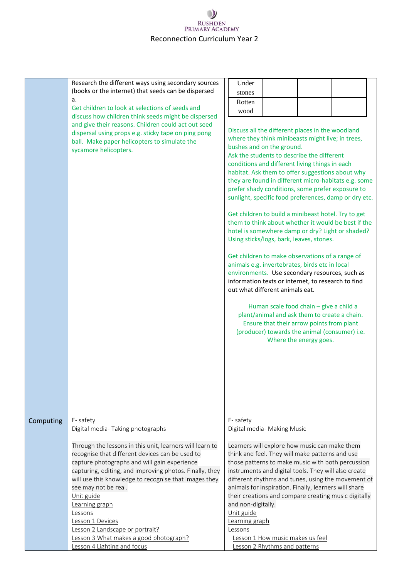# $\mathcal{Y}$ RUSHDEN<br>PRIMARY ACADEMY Reconnection Curriculum Year 2

|           | Research the different ways using secondary sources<br>(books or the internet) that seeds can be dispersed<br>a.<br>Get children to look at selections of seeds and<br>discuss how children think seeds might be dispersed<br>and give their reasons. Children could act out seed<br>dispersal using props e.g. sticky tape on ping pong<br>ball. Make paper helicopters to simulate the<br>sycamore helicopters.                                                                                                                  | Under<br>stones<br>Rotten<br>wood<br>Discuss all the different places in the woodland<br>where they think minibeasts might live; in trees,<br>bushes and on the ground.<br>Ask the students to describe the different<br>conditions and different living things in each<br>habitat. Ask them to offer suggestions about why<br>they are found in different micro-habitats e.g. some<br>prefer shady conditions, some prefer exposure to<br>sunlight, specific food preferences, damp or dry etc.<br>Get children to build a minibeast hotel. Try to get<br>them to think about whether it would be best if the<br>hotel is somewhere damp or dry? Light or shaded?<br>Using sticks/logs, bark, leaves, stones.<br>Get children to make observations of a range of<br>animals e.g. invertebrates, birds etc in local<br>environments. Use secondary resources, such as<br>information texts or internet, to research to find<br>out what different animals eat.<br>Human scale food chain - give a child a<br>plant/animal and ask them to create a chain.<br>Ensure that their arrow points from plant<br>(producer) towards the animal (consumer) i.e.<br>Where the energy goes. |
|-----------|------------------------------------------------------------------------------------------------------------------------------------------------------------------------------------------------------------------------------------------------------------------------------------------------------------------------------------------------------------------------------------------------------------------------------------------------------------------------------------------------------------------------------------|-----------------------------------------------------------------------------------------------------------------------------------------------------------------------------------------------------------------------------------------------------------------------------------------------------------------------------------------------------------------------------------------------------------------------------------------------------------------------------------------------------------------------------------------------------------------------------------------------------------------------------------------------------------------------------------------------------------------------------------------------------------------------------------------------------------------------------------------------------------------------------------------------------------------------------------------------------------------------------------------------------------------------------------------------------------------------------------------------------------------------------------------------------------------------------------|
| Computing | E-safety<br>Digital media-Taking photographs<br>Through the lessons in this unit, learners will learn to<br>recognise that different devices can be used to<br>capture photographs and will gain experience<br>capturing, editing, and improving photos. Finally, they<br>will use this knowledge to recognise that images they<br>see may not be real.<br>Unit guide<br>Learning graph<br>Lessons<br>Lesson 1 Devices<br>Lesson 2 Landscape or portrait?<br>Lesson 3 What makes a good photograph?<br>Lesson 4 Lighting and focus | E-safety<br>Digital media- Making Music<br>Learners will explore how music can make them<br>think and feel. They will make patterns and use<br>those patterns to make music with both percussion<br>instruments and digital tools. They will also create<br>different rhythms and tunes, using the movement of<br>animals for inspiration. Finally, learners will share<br>their creations and compare creating music digitally<br>and non-digitally.<br>Unit guide<br>Learning graph<br>Lessons<br>Lesson 1 How music makes us feel<br>Lesson 2 Rhythms and patterns                                                                                                                                                                                                                                                                                                                                                                                                                                                                                                                                                                                                             |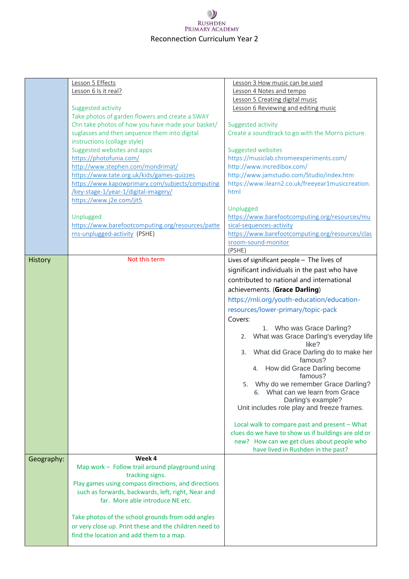# $\mathcal{Y}$ RUSHDEN<br>PRIMARY ACADEMY Reconnection Curriculum Year 2

|            | Lesson 5 Effects                                       | Lesson 3 How music can be used                      |
|------------|--------------------------------------------------------|-----------------------------------------------------|
|            | Lesson 6 Is it real?                                   | Lesson 4 Notes and tempo                            |
|            |                                                        | Lesson 5 Creating digital music                     |
|            |                                                        |                                                     |
|            | Suggested activity                                     | Lesson 6 Reviewing and editing music                |
|            | Take photos of garden flowers and create a SWAY        |                                                     |
|            | Chn take photos of how you have made your basket/      | Suggested activity                                  |
|            | suglasses and then sequence them into digital          | Create a soundtrack to go with the Morris picture.  |
|            | instructions (collage style)                           |                                                     |
|            | Suggested websites and apps                            | Suggested websites                                  |
|            | https://photofunia.com/                                | https://musiclab.chromeexperiments.com/             |
|            | http://www.stephen.com/mondrimat/                      | http://www.incredibox.com/                          |
|            | https://www.tate.org.uk/kids/games-quizzes             | http://www.jamstudio.com/Studio/index.htm           |
|            | https://www.kapowprimary.com/subjects/computing        | https://www.ilearn2.co.uk/freeyear1musiccreation.   |
|            | /key-stage-1/year-1/digital-imagery/                   | html                                                |
|            | https://www.j2e.com/jit5                               |                                                     |
|            |                                                        | Unplugged                                           |
|            | Unplugged                                              | https://www.barefootcomputing.org/resources/mu      |
|            | https://www.barefootcomputing.org/resources/patte      | sical-sequences-activity                            |
|            | rns-unplugged-activity (PSHE)                          | https://www.barefootcomputing.org/resources/clas    |
|            |                                                        | sroom-sound-monitor                                 |
|            |                                                        | (PSHE)                                              |
| History    | Not this term                                          | Lives of significant people - The lives of          |
|            |                                                        | significant individuals in the past who have        |
|            |                                                        | contributed to national and international           |
|            |                                                        |                                                     |
|            |                                                        | achievements. (Grace Darling)                       |
|            |                                                        | https://rnli.org/youth-education/education-         |
|            |                                                        | resources/lower-primary/topic-pack                  |
|            |                                                        | Covers:                                             |
|            |                                                        | 1. Who was Grace Darling?                           |
|            |                                                        | 2. What was Grace Darling's everyday life           |
|            |                                                        | like?                                               |
|            |                                                        | What did Grace Darling do to make her<br>3.         |
|            |                                                        | famous?                                             |
|            |                                                        | 4. How did Grace Darling become                     |
|            |                                                        | famous?                                             |
|            |                                                        | 5. Why do we remember Grace Darling?                |
|            |                                                        | 6. What can we learn from Grace                     |
|            |                                                        | Darling's example?                                  |
|            |                                                        | Unit includes role play and freeze frames.          |
|            |                                                        |                                                     |
|            |                                                        | Local walk to compare past and present - What       |
|            |                                                        | clues do we have to show us if buildings are old or |
|            |                                                        | new? How can we get clues about people who          |
|            |                                                        | have lived in Rushden in the past?                  |
| Geography: | Week 4                                                 |                                                     |
|            | Map work - Follow trail around playground using        |                                                     |
|            | tracking signs.                                        |                                                     |
|            | Play games using compass directions, and directions    |                                                     |
|            | such as forwards, backwards, left, right, Near and     |                                                     |
|            | far. More able introduce NE etc.                       |                                                     |
|            |                                                        |                                                     |
|            | Take photos of the school grounds from odd angles      |                                                     |
|            | or very close up. Print these and the children need to |                                                     |
|            | find the location and add them to a map.               |                                                     |
|            |                                                        |                                                     |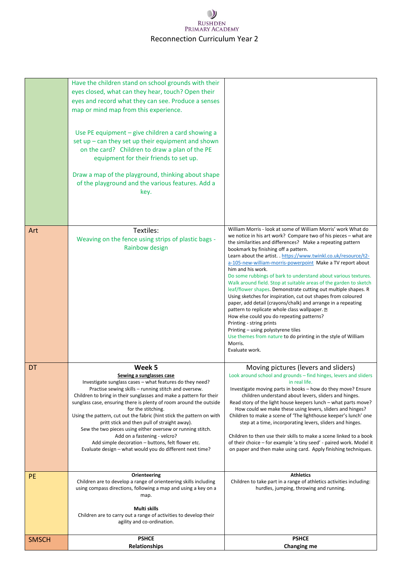## $\mathcal{Y}$ RUSHDEN<br>PRIMARY ACADEMY Reconnection Curriculum Year 2

|              | Have the children stand on school grounds with their<br>eyes closed, what can they hear, touch? Open their<br>eyes and record what they can see. Produce a senses<br>map or mind map from this experience.<br>Use PE equipment - give children a card showing a<br>set up - can they set up their equipment and shown<br>on the card? Children to draw a plan of the PE<br>equipment for their friends to set up.<br>Draw a map of the playground, thinking about shape<br>of the playground and the various features. Add a<br>key.                                                                                                                             |                                                                                                                                                                                                                                                                                                                                                                                                                                                                                                                                                                                                                                                                                                                                                                                                                                                                                                                                                                                                     |
|--------------|------------------------------------------------------------------------------------------------------------------------------------------------------------------------------------------------------------------------------------------------------------------------------------------------------------------------------------------------------------------------------------------------------------------------------------------------------------------------------------------------------------------------------------------------------------------------------------------------------------------------------------------------------------------|-----------------------------------------------------------------------------------------------------------------------------------------------------------------------------------------------------------------------------------------------------------------------------------------------------------------------------------------------------------------------------------------------------------------------------------------------------------------------------------------------------------------------------------------------------------------------------------------------------------------------------------------------------------------------------------------------------------------------------------------------------------------------------------------------------------------------------------------------------------------------------------------------------------------------------------------------------------------------------------------------------|
| Art          | Textiles:<br>Weaving on the fence using strips of plastic bags -<br>Rainbow design                                                                                                                                                                                                                                                                                                                                                                                                                                                                                                                                                                               | William Morris - look at some of William Morris' work What do<br>we notice in his art work? Compare two of his pieces - what are<br>the similarities and differences? Make a repeating pattern<br>bookmark by finishing off a pattern.<br>Learn about the artist. . https://www.twinkl.co.uk/resource/t2-<br>a-105-new-william-morris-powerpoint Make a TV report about<br>him and his work.<br>Do some rubbings of bark to understand about various textures.<br>Walk around field. Stop at suitable areas of the garden to sketch<br>leaf/flower shapes. Demonstrate cutting out multiple shapes. R<br>Using sketches for inspiration, cut out shapes from coloured<br>paper, add detail (crayons/chalk) and arrange in a repeating<br>pattern to replicate whole class wallpaper. ?<br>How else could you do repeating patterns?<br>Printing - string prints<br>Printing – using polystyrene tiles<br>Use themes from nature to do printing in the style of William<br>Morris.<br>Evaluate work. |
| <b>DT</b>    | Week 5<br>Sewing a sunglasses case<br>Investigate sunglass cases – what features do they need?<br>Practise sewing skills - running stitch and oversew.<br>Children to bring in their sunglasses and make a pattern for their<br>sunglass case, ensuring there is plenty of room around the outside<br>for the stitching.<br>Using the pattern, cut out the fabric (hint stick the pattern on with<br>pritt stick and then pull of straight away).<br>Sew the two pieces using either oversew or running stitch.<br>Add on a fastening - velcro?<br>Add simple decoration - buttons, felt flower etc.<br>Evaluate design – what would you do different next time? | Moving pictures (levers and sliders)<br>Look around school and grounds - find hinges, levers and sliders<br>in real life.<br>Investigate moving parts in books – how do they move? Ensure<br>children understand about levers, sliders and hinges.<br>Read story of the light house keepers lunch - what parts move?<br>How could we make these using levers, sliders and hinges?<br>Children to make a scene of 'The lighthouse keeper's lunch' one<br>step at a time, incorporating levers, sliders and hinges.<br>Children to then use their skills to make a scene linked to a book<br>of their choice - for example 'a tiny seed' - paired work. Model it<br>on paper and then make using card. Apply finishing techniques.                                                                                                                                                                                                                                                                    |
| <b>PE</b>    | Orienteering<br>Children are to develop a range of orienteering skills including<br>using compass directions, following a map and using a key on a<br>map.<br>Multi skills<br>Children are to carry out a range of activities to develop their<br>agility and co-ordination.                                                                                                                                                                                                                                                                                                                                                                                     | <b>Athletics</b><br>Children to take part in a range of athletics activities including:<br>hurdles, jumping, throwing and running.                                                                                                                                                                                                                                                                                                                                                                                                                                                                                                                                                                                                                                                                                                                                                                                                                                                                  |
| <b>SMSCH</b> | <b>PSHCE</b><br>Relationships                                                                                                                                                                                                                                                                                                                                                                                                                                                                                                                                                                                                                                    | <b>PSHCE</b><br><b>Changing me</b>                                                                                                                                                                                                                                                                                                                                                                                                                                                                                                                                                                                                                                                                                                                                                                                                                                                                                                                                                                  |